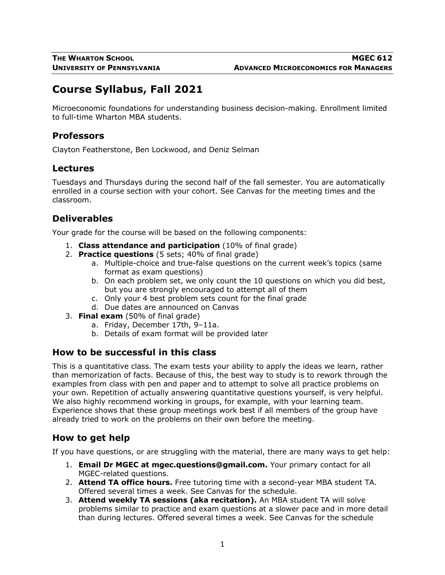# **Course Syllabus, Fall 2021**

Microeconomic foundations for understanding business decision-making. Enrollment limited to full-time Wharton MBA students.

### **Professors**

Clayton Featherstone, Ben Lockwood, and Deniz Selman

#### **Lectures**

Tuesdays and Thursdays during the second half of the fall semester. You are automatically enrolled in a course section with your cohort. See Canvas for the meeting times and the classroom.

## **Deliverables**

Your grade for the course will be based on the following components:

- 1. **Class attendance and participation** (10% of final grade)
- 2. **Practice questions** (5 sets; 40% of final grade)
	- a. Multiple-choice and true-false questions on the current week's topics (same format as exam questions)
	- b. On each problem set, we only count the 10 questions on which you did best, but you are strongly encouraged to attempt all of them
	- c. Only your 4 best problem sets count for the final grade
	- d. Due dates are announced on Canvas
- 3. **Final exam** (50% of final grade)
	- a. Friday, December 17th, 9–11a.
	- b. Details of exam format will be provided later

#### **How to be successful in this class**

This is a quantitative class. The exam tests your ability to apply the ideas we learn, rather than memorization of facts. Because of this, the best way to study is to rework through the examples from class with pen and paper and to attempt to solve all practice problems on your own. Repetition of actually answering quantitative questions yourself, is very helpful. We also highly recommend working in groups, for example, with your learning team. Experience shows that these group meetings work best if all members of the group have already tried to work on the problems on their own before the meeting.

## **How to get help**

If you have questions, or are struggling with the material, there are many ways to get help:

- 1. **Email Dr MGEC at mgec.questions@gmail.com.** Your primary contact for all MGEC-related questions.
- 2. **Attend TA office hours.** Free tutoring time with a second-year MBA student TA. Offered several times a week. See Canvas for the schedule.
- 3. **Attend weekly TA sessions (aka recitation).** An MBA student TA will solve problems similar to practice and exam questions at a slower pace and in more detail than during lectures. Offered several times a week. See Canvas for the schedule